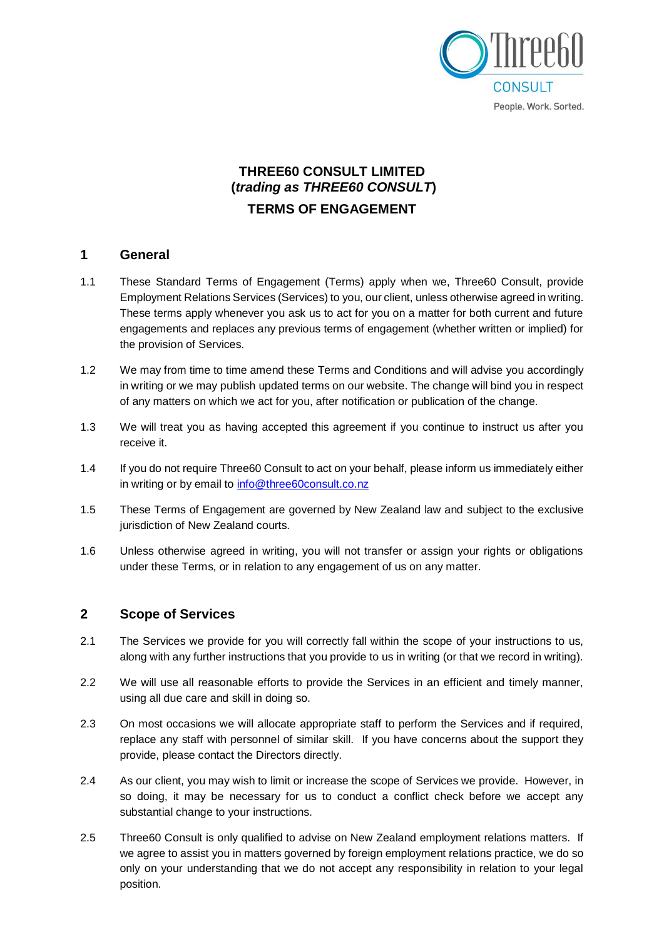

# **THREE60 CONSULT LIMITED (***trading as THREE60 CONSULT***) TERMS OF ENGAGEMENT**

#### **1 General**

- 1.1 These Standard Terms of Engagement (Terms) apply when we, Three60 Consult, provide Employment Relations Services (Services) to you, our client, unless otherwise agreed in writing. These terms apply whenever you ask us to act for you on a matter for both current and future engagements and replaces any previous terms of engagement (whether written or implied) for the provision of Services.
- 1.2 We may from time to time amend these Terms and Conditions and will advise you accordingly in writing or we may publish updated terms on our website. The change will bind you in respect of any matters on which we act for you, after notification or publication of the change.
- 1.3 We will treat you as having accepted this agreement if you continue to instruct us after you receive it.
- 1.4 If you do not require Three60 Consult to act on your behalf, please inform us immediately either in writing or by email to [info@three60consult.co.nz](mailto:info@three60consult.co.nz)
- 1.5 These Terms of Engagement are governed by New Zealand law and subject to the exclusive jurisdiction of New Zealand courts.
- 1.6 Unless otherwise agreed in writing, you will not transfer or assign your rights or obligations under these Terms, or in relation to any engagement of us on any matter.

#### **2 Scope of Services**

- 2.1 The Services we provide for you will correctly fall within the scope of your instructions to us, along with any further instructions that you provide to us in writing (or that we record in writing).
- 2.2 We will use all reasonable efforts to provide the Services in an efficient and timely manner, using all due care and skill in doing so.
- 2.3 On most occasions we will allocate appropriate staff to perform the Services and if required, replace any staff with personnel of similar skill. If you have concerns about the support they provide, please contact the Directors directly.
- 2.4 As our client, you may wish to limit or increase the scope of Services we provide. However, in so doing, it may be necessary for us to conduct a conflict check before we accept any substantial change to your instructions.
- 2.5 Three60 Consult is only qualified to advise on New Zealand employment relations matters. If we agree to assist you in matters governed by foreign employment relations practice, we do so only on your understanding that we do not accept any responsibility in relation to your legal position.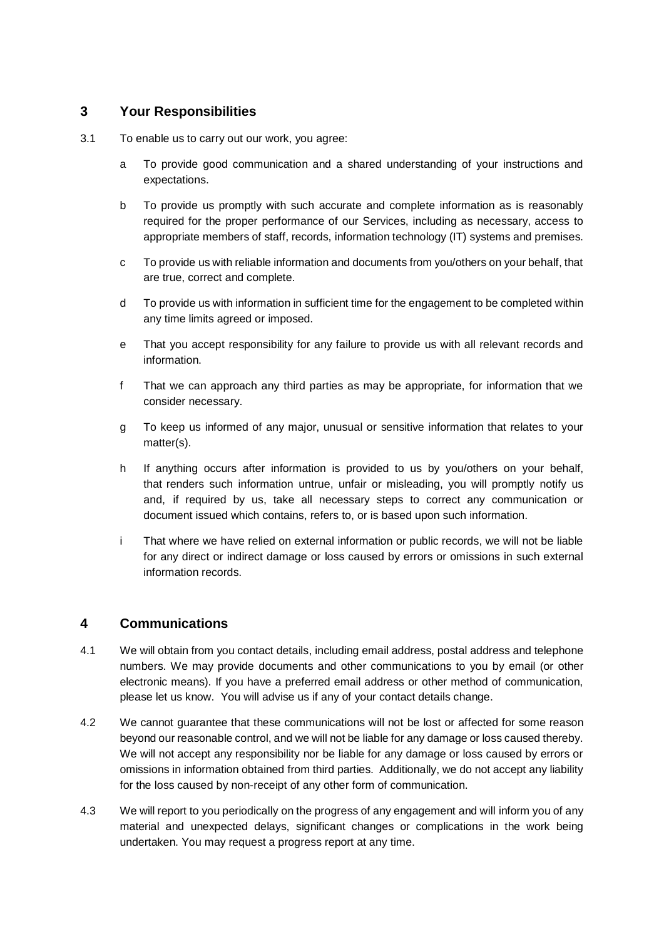## **3 Your Responsibilities**

- 3.1 To enable us to carry out our work, you agree:
	- a To provide good communication and a shared understanding of your instructions and expectations.
	- b To provide us promptly with such accurate and complete information as is reasonably required for the proper performance of our Services, including as necessary, access to appropriate members of staff, records, information technology (IT) systems and premises.
	- c To provide us with reliable information and documents from you/others on your behalf, that are true, correct and complete.
	- d To provide us with information in sufficient time for the engagement to be completed within any time limits agreed or imposed.
	- e That you accept responsibility for any failure to provide us with all relevant records and information.
	- f That we can approach any third parties as may be appropriate, for information that we consider necessary.
	- g To keep us informed of any major, unusual or sensitive information that relates to your matter(s).
	- h If anything occurs after information is provided to us by you/others on your behalf, that renders such information untrue, unfair or misleading, you will promptly notify us and, if required by us, take all necessary steps to correct any communication or document issued which contains, refers to, or is based upon such information.
	- i That where we have relied on external information or public records, we will not be liable for any direct or indirect damage or loss caused by errors or omissions in such external information records.

### **4 Communications**

- 4.1 We will obtain from you contact details, including email address, postal address and telephone numbers. We may provide documents and other communications to you by email (or other electronic means). If you have a preferred email address or other method of communication, please let us know. You will advise us if any of your contact details change.
- 4.2 We cannot guarantee that these communications will not be lost or affected for some reason beyond our reasonable control, and we will not be liable for any damage or loss caused thereby. We will not accept any responsibility nor be liable for any damage or loss caused by errors or omissions in information obtained from third parties. Additionally, we do not accept any liability for the loss caused by non-receipt of any other form of communication.
- 4.3 We will report to you periodically on the progress of any engagement and will inform you of any material and unexpected delays, significant changes or complications in the work being undertaken. You may request a progress report at any time.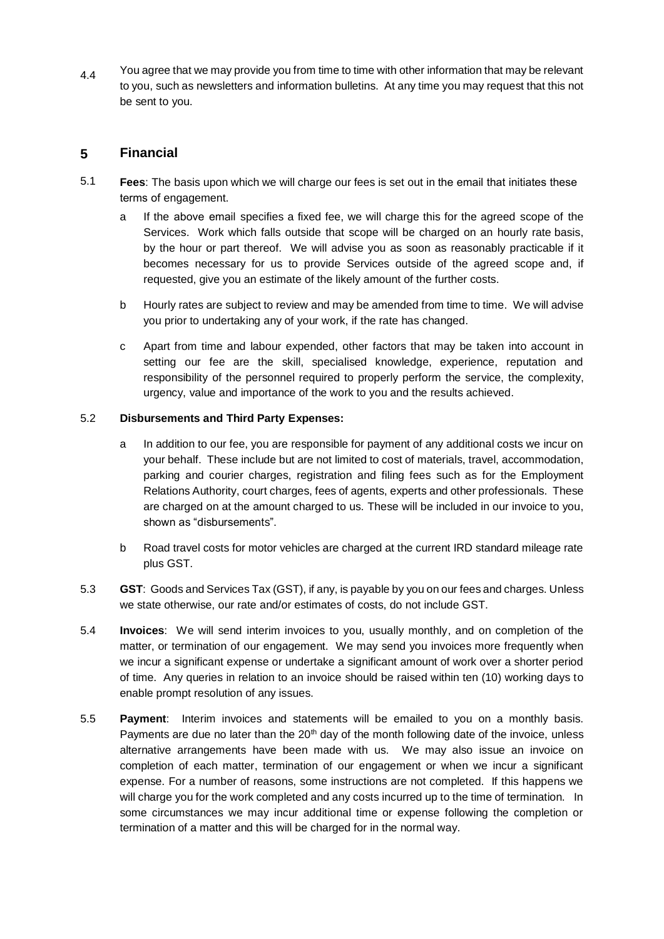4.4 You agree that we may provide you from time to time with other information that may be relevant to you, such as newsletters and information bulletins. At any time you may request that this not be sent to you.

#### **5 Financial**

- 5.1 **Fees**: The basis upon which we will charge our fees is set out in the email that initiates these terms of engagement.
	- a If the above email specifies a fixed fee, we will charge this for the agreed scope of the Services. Work which falls outside that scope will be charged on an hourly rate basis, by the hour or part thereof. We will advise you as soon as reasonably practicable if it becomes necessary for us to provide Services outside of the agreed scope and, if requested, give you an estimate of the likely amount of the further costs.
	- b Hourly rates are subject to review and may be amended from time to time. We will advise you prior to undertaking any of your work, if the rate has changed.
	- c Apart from time and labour expended, other factors that may be taken into account in setting our fee are the skill, specialised knowledge, experience, reputation and responsibility of the personnel required to properly perform the service, the complexity, urgency, value and importance of the work to you and the results achieved.

### 5.2 **Disbursements and Third Party Expenses:**

- a In addition to our fee, you are responsible for payment of any additional costs we incur on your behalf. These include but are not limited to cost of materials, travel, accommodation, parking and courier charges, registration and filing fees such as for the Employment Relations Authority, court charges, fees of agents, experts and other professionals. These are charged on at the amount charged to us. These will be included in our invoice to you, shown as "disbursements".
- b Road travel costs for motor vehicles are charged at the current IRD standard mileage rate plus GST.
- 5.3 **GST**: Goods and Services Tax (GST), if any, ispayable by you on our fees and charges. Unless we state otherwise, our rate and/or estimates of costs, do not include GST.
- 5.4 **Invoices**: We will send interim invoices to you, usually monthly, and on completion of the matter, or termination of our engagement. We may send you invoices more frequently when we incur a significant expense or undertake a significant amount of work over a shorter period of time. Any queries in relation to an invoice should be raised within ten (10) working days to enable prompt resolution of any issues.
- 5.5 **Payment**: Interim invoices and statements will be emailed to you on a monthly basis. Payments are due no later than the  $20<sup>th</sup>$  day of the month following date of the invoice, unless alternative arrangements have been made with us. We may also issue an invoice on completion of each matter, termination of our engagement or when we incur a significant expense. For a number of reasons, some instructions are not completed. If this happens we will charge you for the work completed and any costs incurred up to the time of termination. In some circumstances we may incur additional time or expense following the completion or termination of a matter and this will be charged for in the normal way.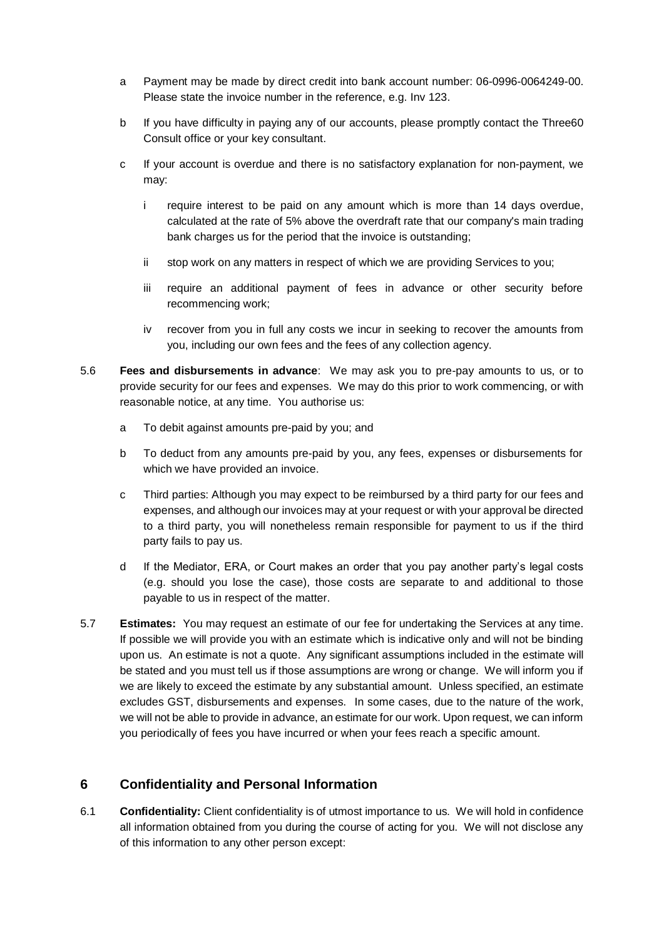- a Payment may be made by direct credit into bank account number: 06-0996-0064249-00. Please state the invoice number in the reference, e.g. Inv 123.
- b If you have difficulty in paying any of our accounts, please promptly contact the Three60 Consult office or your key consultant.
- c If your account is overdue and there is no satisfactory explanation for non-payment, we may:
	- i require interest to be paid on any amount which is more than 14 days overdue, calculated at the rate of 5% above the overdraft rate that our company's main trading bank charges us for the period that the invoice is outstanding;
	- ii stop work on any matters in respect of which we are providing Services to you;
	- iii require an additional payment of fees in advance or other security before recommencing work;
	- iv recover from you in full any costs we incur in seeking to recover the amounts from you, including our own fees and the fees of any collection agency.
- 5.6 **Fees and disbursements in advance**: We may ask you to pre-pay amounts to us, or to provide security for our fees and expenses. We may do this prior to work commencing, or with reasonable notice, at any time. You authorise us:
	- a To debit against amounts pre-paid by you; and
	- b To deduct from any amounts pre-paid by you, any fees, expenses or disbursements for which we have provided an invoice.
	- $\mathbf{c}$ Third parties: Although you may expect to be reimbursed by a third party for our fees and expenses, and although our invoices may at your request or with your approval be directed to a third party, you will nonetheless remain responsible for payment to us if the third party fails to pay us.
	- d If the Mediator, ERA, or Court makes an order that you pay another party's legal costs (e.g. should you lose the case), those costs are separate to and additional to those payable to us in respect of the matter.
- 5.7 **Estimates:** You may request an estimate of our fee for undertaking the Services at any time. If possible we will provide you with an estimate which is indicative only and will not be binding upon us. An estimate is not a quote. Any significant assumptions included in the estimate will be stated and you must tell us if those assumptions are wrong or change. We will inform you if we are likely to exceed the estimate by any substantial amount. Unless specified, an estimate excludes GST, disbursements and expenses. In some cases, due to the nature of the work, we will not be able to provide in advance, an estimate for our work. Upon request, we can inform you periodically of fees you have incurred or when your fees reach a specific amount.

# **6 Confidentiality and Personal Information**

6.1 **Confidentiality:** Client confidentiality is of utmost importance to us.We will hold in confidence all information obtained from you during the course of acting for you. We will not disclose any of this information to any other person except: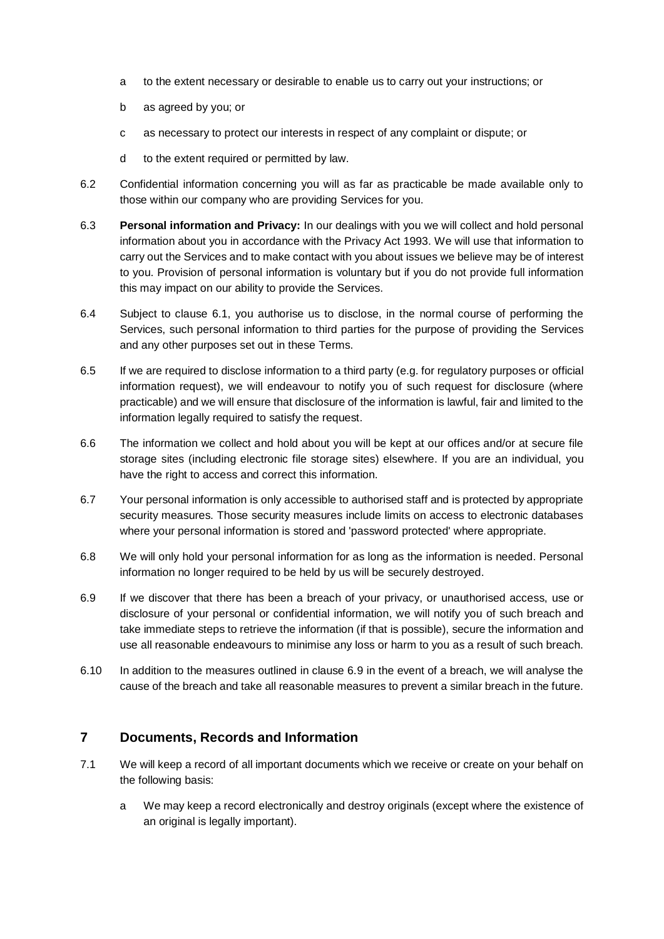- a to the extent necessary or desirable to enable us to carry out your instructions; or
- b as agreed by you; or
- c as necessary to protect our interests in respect of any complaint or dispute; or
- d to the extent required or permitted by law.
- 6.2 Confidential information concerning you will as far as practicable be made available only to those within our company who are providing Services for you.
- 6.3 **Personal information and Privacy:** In our dealings with you we will collect and hold personal information about you in accordance with the Privacy Act 1993. We will use that information to carry out the Services and to make contact with you about issues we believe may be of interest to you. Provision of personal information is voluntary but if you do not provide full information this may impact on our ability to provide the Services.
- 6.4 Subject to clause 6.1, you authorise us to disclose, in the normal course of performing the Services, such personal information to third parties for the purpose of providing the Services and any other purposes set out in these Terms.
- 6.5 If we are required to disclose information to a third party (e.g. for regulatory purposes or official information request), we will endeavour to notify you of such request for disclosure (where practicable) and we will ensure that disclosure of the information is lawful, fair and limited to the information legally required to satisfy the request.
- 6.6 The information we collect and hold about you will be kept at our offices and/or at secure file storage sites (including electronic file storage sites) elsewhere. If you are an individual, you have the right to access and correct this information.
- 6.7 Your personal information is only accessible to authorised staff and is protected by appropriate security measures. Those security measures include limits on access to electronic databases where your personal information is stored and 'password protected' where appropriate.
- 6.8 We will only hold your personal information for as long as the information is needed. Personal information no longer required to be held by us will be securely destroyed.
- 6.9 If we discover that there has been a breach of your privacy, or unauthorised access, use or disclosure of your personal or confidential information, we will notify you of such breach and take immediate steps to retrieve the information (if that is possible), secure the information and use all reasonable endeavours to minimise any loss or harm to you as a result of such breach.
- 6.10 In addition to the measures outlined in clause 6.9 in the event of a breach, we will analyse the cause of the breach and take all reasonable measures to prevent a similar breach in the future.

# **7 Documents, Records and Information**

- 7.1 We will keep a record of all important documents which we receive or create on your behalf on the following basis:
	- a We may keep a record electronically and destroy originals (except where the existence of an original is legally important).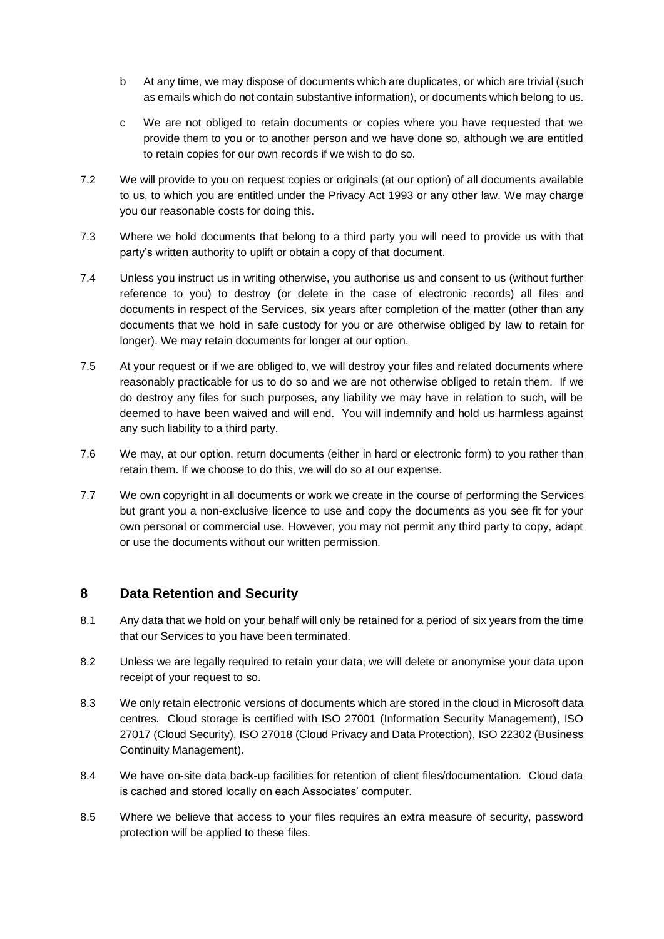- b At any time, we may dispose of documents which are duplicates, or which are trivial (such as emails which do not contain substantive information), or documents which belong to us.
- c We are not obliged to retain documents or copies where you have requested that we provide them to you or to another person and we have done so, although we are entitled to retain copies for our own records if we wish to do so.
- 7.2 We will provide to you on request copies or originals (at our option) of all documents available to us, to which you are entitled under the Privacy Act 1993 or any other law. We may charge you our reasonable costs for doing this.
- 7.3 Where we hold documents that belong to a third party you will need to provide us with that party's written authority to uplift or obtain a copy of that document.
- 7.4 Unless you instruct us in writing otherwise, you authorise us and consent to us (without further reference to you) to destroy (or delete in the case of electronic records) all files and documents in respect of the Services, six years after completion of the matter (other than any documents that we hold in safe custody for you or are otherwise obliged by law to retain for longer). We may retain documents for longer at our option.
- 7.5 At your request or if we are obliged to, we will destroy your files and related documents where reasonably practicable for us to do so and we are not otherwise obliged to retain them. If we do destroy any files for such purposes, any liability we may have in relation to such, will be deemed to have been waived and will end. You will indemnify and hold us harmless against any such liability to a third party.
- 7.6 We may, at our option, return documents (either in hard or electronic form) to you rather than retain them. If we choose to do this, we will do so at our expense.
- 7.7 We own copyright in all documents or work we create in the course of performing the Services but grant you a non-exclusive licence to use and copy the documents as you see fit for your own personal or commercial use. However, you may not permit any third party to copy, adapt or use the documents without our written permission.

#### **8 Data Retention and Security**

- 8.1 Any data that we hold on your behalf will only be retained for a period of six years from the time that our Services to you have been terminated.
- 8.2 Unless we are legally required to retain your data, we will delete or anonymise your data upon receipt of your request to so.
- 8.3 We only retain electronic versions of documents which are stored in the cloud in Microsoft data centres. Cloud storage is certified with ISO 27001 (Information Security Management), ISO 27017 (Cloud Security), ISO 27018 (Cloud Privacy and Data Protection), ISO 22302 (Business Continuity Management).
- 8.4 We have on-site data back-up facilities for retention of client files/documentation. Cloud data is cached and stored locally on each Associates' computer.
- 8.5 Where we believe that access to your files requires an extra measure of security, password protection will be applied to these files.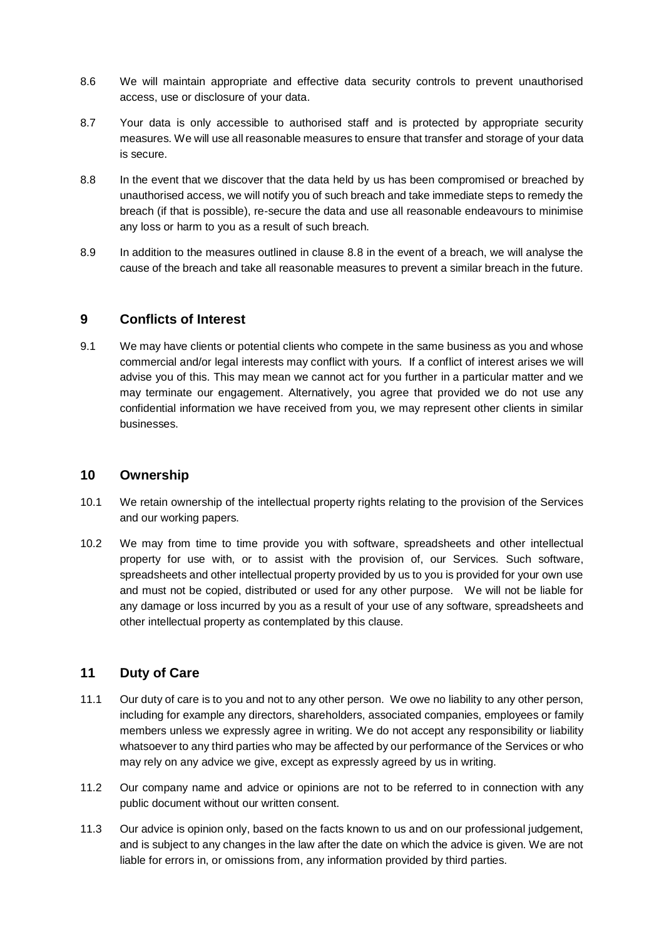- 8.6 We will maintain appropriate and effective data security controls to prevent unauthorised access, use or disclosure of your data.
- 8.7 Your data is only accessible to authorised staff and is protected by appropriate security measures. We will use all reasonable measures to ensure that transfer and storage of your data is secure.
- 8.8 In the event that we discover that the data held by us has been compromised or breached by unauthorised access, we will notify you of such breach and take immediate steps to remedy the breach (if that is possible), re-secure the data and use all reasonable endeavours to minimise any loss or harm to you as a result of such breach.
- 8.9 In addition to the measures outlined in clause 8.8 in the event of a breach, we will analyse the cause of the breach and take all reasonable measures to prevent a similar breach in the future.

## **9 Conflicts of Interest**

9.1 We may have clients or potential clients who compete in the same business as you and whose commercial and/or legal interests may conflict with yours. If a conflict of interest arises we will advise you of this. This may mean we cannot act for you further in a particular matter and we may terminate our engagement. Alternatively, you agree that provided we do not use any confidential information we have received from you, we may represent other clients in similar businesses.

### **10 Ownership**

- 10.1 We retain ownership of the intellectual property rights relating to the provision of the Services and our working papers.
- 10.2 We may from time to time provide you with software, spreadsheets and other intellectual property for use with, or to assist with the provision of, our Services. Such software, spreadsheets and other intellectual property provided by us to you is provided for your own use and must not be copied, distributed or used for any other purpose. We will not be liable for any damage or loss incurred by you as a result of your use of any software, spreadsheets and other intellectual property as contemplated by this clause.

# **11 Duty of Care**

- 11.1 Our duty of care is to you and not to any other person. We owe no liability to any other person, including for example any directors, shareholders, associated companies, employees or family members unless we expressly agree in writing. We do not accept any responsibility or liability whatsoever to any third parties who may be affected by our performance of the Services or who may rely on any advice we give, except as expressly agreed by us in writing.
- 11.2 Our company name and advice or opinions are not to be referred to in connection with any public document without our written consent.
- 11.3 Our advice is opinion only, based on the facts known to us and on our professional judgement, and is subject to any changes in the law after the date on which the advice is given. We are not liable for errors in, or omissions from, any information provided by third parties.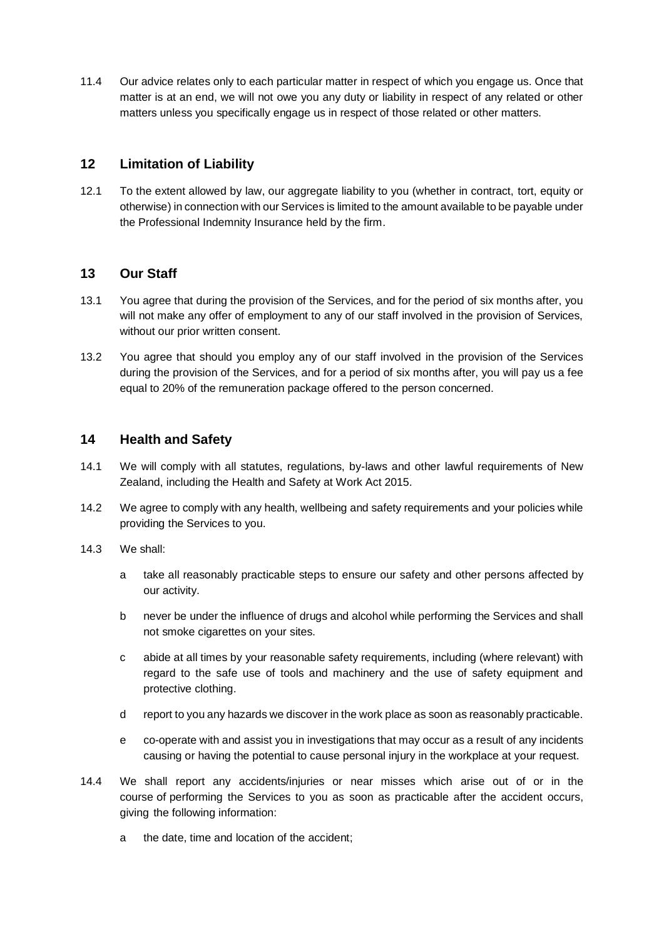11.4 Our advice relates only to each particular matter in respect of which you engage us. Once that matter is at an end, we will not owe you any duty or liability in respect of any related or other matters unless you specifically engage us in respect of those related or other matters.

## **12 Limitation of Liability**

12.1 To the extent allowed by law, our aggregate liability to you (whether in contract, tort, equity or otherwise) in connection with our Services is limited to the amount available to be payable under the Professional Indemnity Insurance held by the firm.

### **13 Our Staff**

- 13.1 You agree that during the provision of the Services, and for the period of six months after, you will not make any offer of employment to any of our staff involved in the provision of Services, without our prior written consent.
- 13.2 You agree that should you employ any of our staff involved in the provision of the Services during the provision of the Services, and for a period of six months after, you will pay us a fee equal to 20% of the remuneration package offered to the person concerned.

### **14 Health and Safety**

- 14.1 We will comply with all statutes, regulations, by-laws and other lawful requirements of New Zealand, including the Health and Safety at Work Act 2015.
- 14.2 We agree to comply with any health, wellbeing and safety requirements and your policies while providing the Services to you.
- 14.3 We shall:
	- a take all reasonably practicable steps to ensure our safety and other persons affected by our activity.
	- b never be under the influence of drugs and alcohol while performing the Services and shall not smoke cigarettes on your sites.
	- c abide at all times by your reasonable safety requirements, including (where relevant) with regard to the safe use of tools and machinery and the use of safety equipment and protective clothing.
	- d report to you any hazards we discover in the work place as soon as reasonably practicable.
	- e co-operate with and assist you in investigations that may occur as a result of any incidents causing or having the potential to cause personal injury in the workplace at your request.
- 14.4 We shall report any accidents/injuries or near misses which arise out of or in the course of performing the Services to you as soon as practicable after the accident occurs, giving the following information:
	- a the date, time and location of the accident;